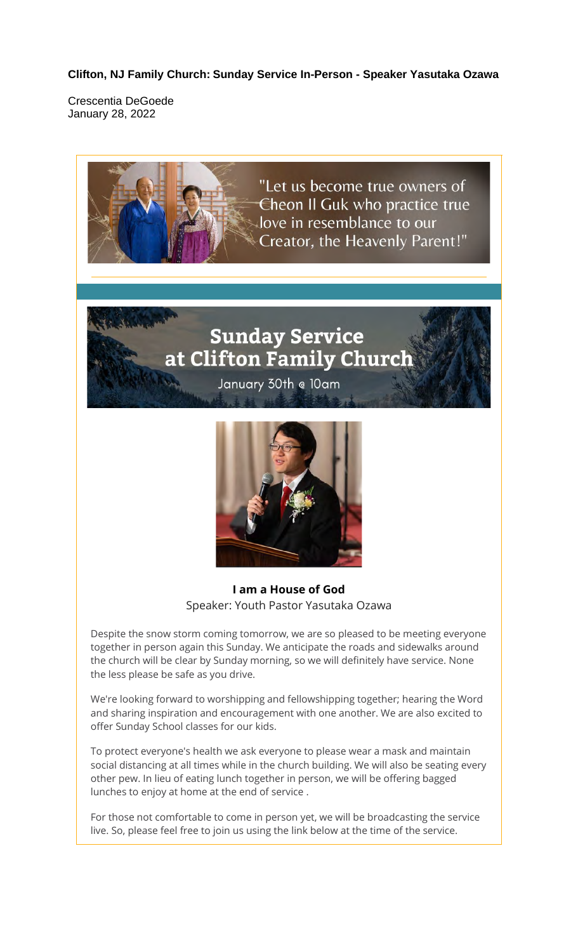**Clifton, NJ Family Church: Sunday Service In-Person - Speaker Yasutaka Ozawa**

Crescentia DeGoede January 28, 2022



### **Sunday Service** at Clifton Family Church

January 30th @ 10am



**I am a House of God** Speaker: Youth Pastor Yasutaka Ozawa

Despite the snow storm coming tomorrow, we are so pleased to be meeting everyone together in person again this Sunday. We anticipate the roads and sidewalks around the church will be clear by Sunday morning, so we will definitely have service. None the less please be safe as you drive.

We're looking forward to worshipping and fellowshipping together; hearing the Word and sharing inspiration and encouragement with one another. We are also excited to offer Sunday School classes for our kids.

To protect everyone's health we ask everyone to please wear a mask and maintain social distancing at all times while in the church building. We will also be seating every other pew. In lieu of eating lunch together in person, we will be offering bagged lunches to enjoy at home at the end of service .

For those not comfortable to come in person yet, we will be broadcasting the service live. So, please feel free to join us using the link below at the time of the service.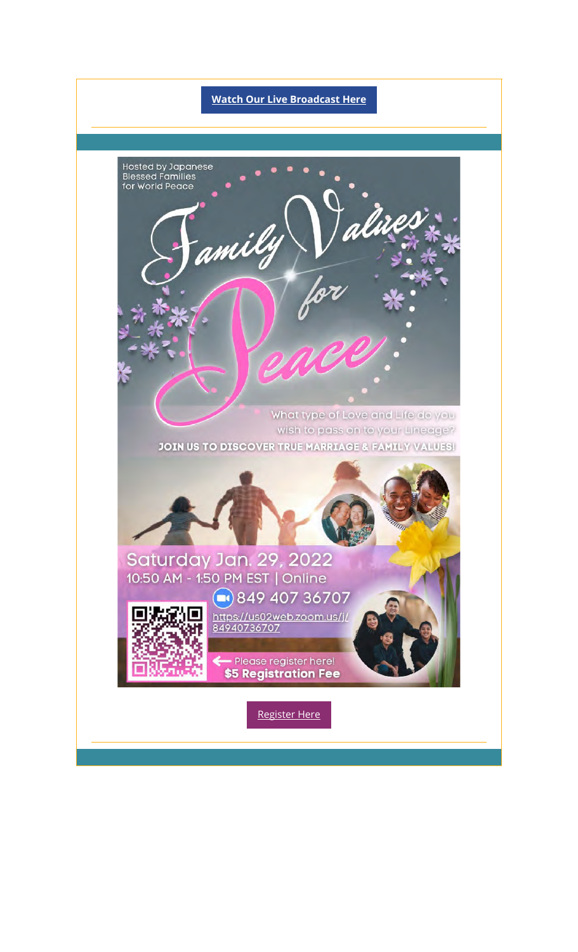# **Watch Our Live Broadcast Here** Hosted by Japanese<br>Blessed Families<br>for World Peace amily What type of Love and Life do you wish to pass on to your Lineage? **JOIN US TO DISCOVER TRUE MARRIAGE & FAMILY VALUES!** Saturday Jan. 29, 2022 10:50 AM - 1:50 PM EST | Online ●849 407 36707 https://us02web.zoom.us/j/<br>84940736707 - Please register here! \$5 Registration Fee Register Here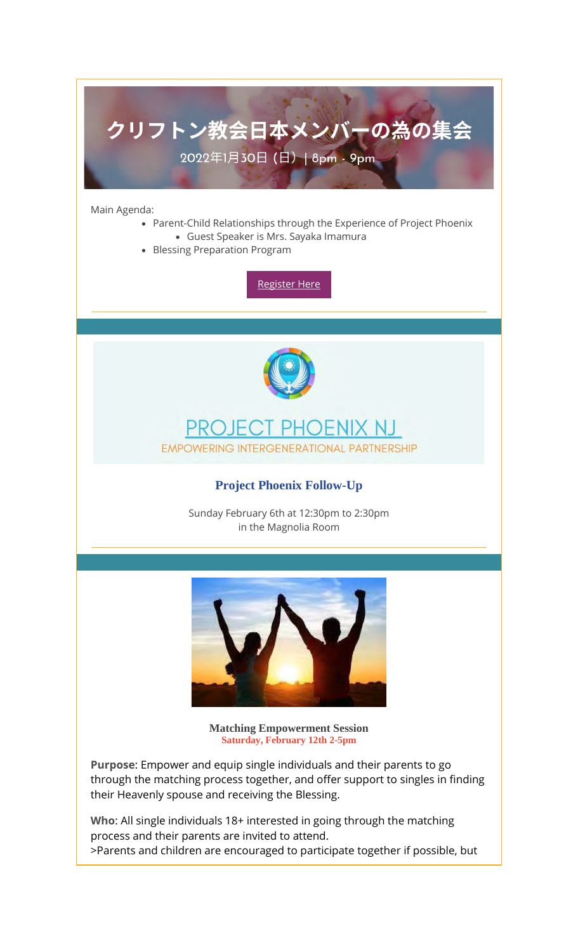## クリフトン教会日本メンバーの為の集会 2022年1月30日 (日) | 8pm - 9pm

Main Agenda:

- Parent-Child Relationships through the Experience of Project Phoenix • Guest Speaker is Mrs. Sayaka Imamura
- Blessing Preparation Program

Register Here



#### **PROJECT** PHOENIX NJ **EMPOWERING INTERGENERATIONAL PARTNERSHIP**

#### **Project Phoenix Follow-Up**

Sunday February 6th at 12:30pm to 2:30pm in the Magnolia Room



**Matching Empowerment Session Saturday, February 12th 2-5pm**

**Purpose**: Empower and equip single individuals and their parents to go through the matching process together, and offer support to singles in finding their Heavenly spouse and receiving the Blessing.

**Who**: All single individuals 18+ interested in going through the matching process and their parents are invited to attend. >Parents and children are encouraged to participate together if possible, but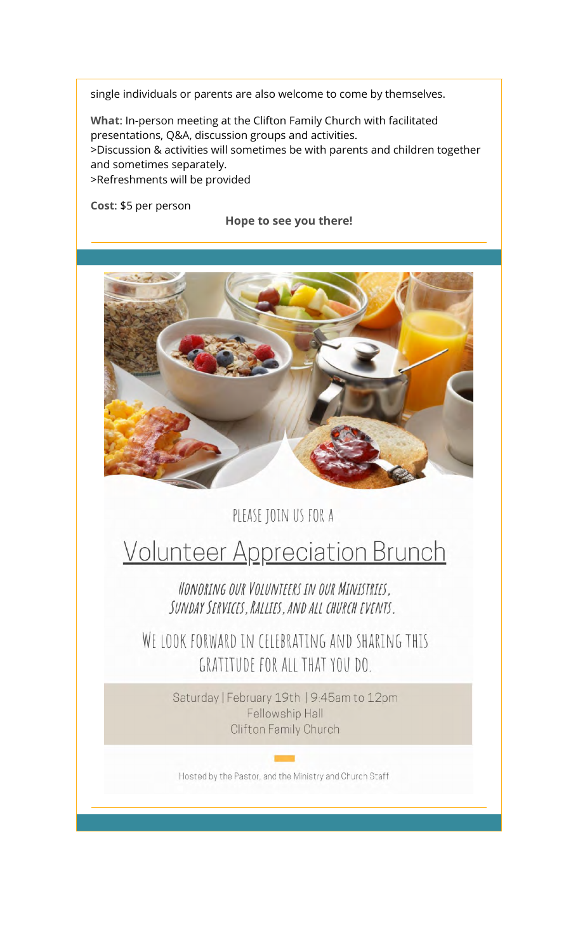single individuals or parents are also welcome to come by themselves.

**What**: In-person meeting at the Clifton Family Church with facilitated presentations, Q&A, discussion groups and activities. >Discussion & activities will sometimes be with parents and children together and sometimes separately. >Refreshments will be provided

**Cost**: \$5 per person

**Hope to see you there!**



PLEASE JOIN US FOR A

## **Volunteer Appreciation Brunch**

HONORING OUR VOLUNTEERS IN OUR MINISTRIES, SUNDAY SERVICES. RALLIES. AND ALL CHURCH EVENTS.

WE LOOK FORWARD IN CELEBRATING AND SHARING THIS GRATITUDE FOR ALL THAT YOU DO.

> Saturday | February 19th | 9:45am to 12pm Fellowship Hall Clifton Family Church

Hosted by the Pastor, and the Ministry and Church Staff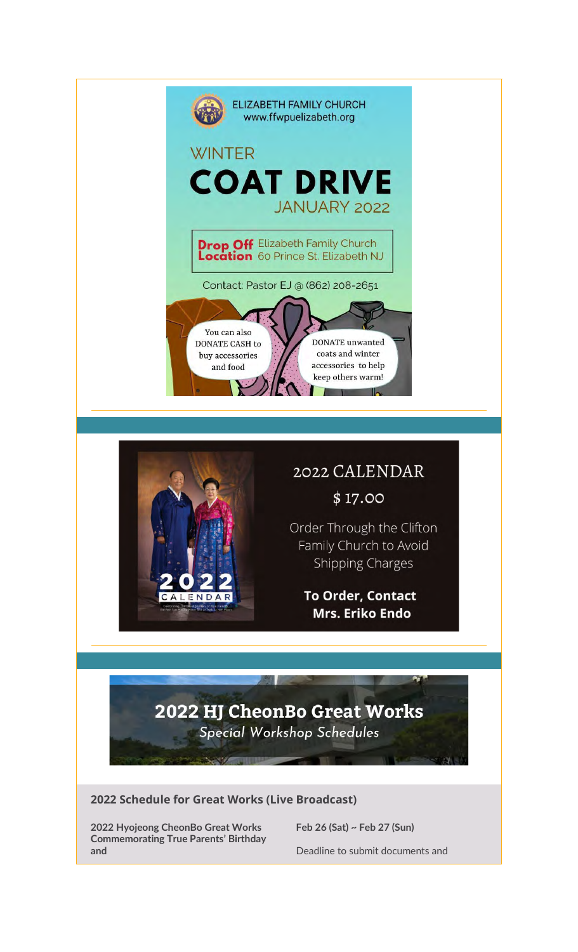